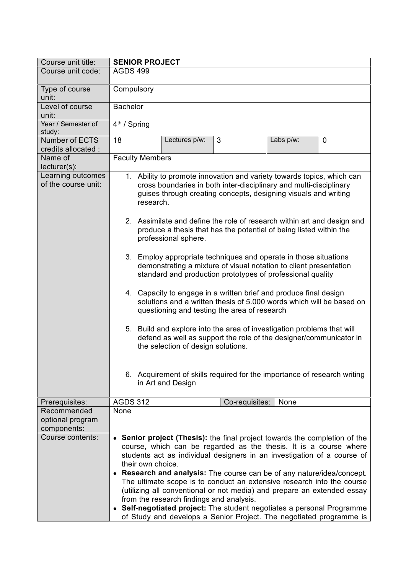| Course unit title:                           | <b>SENIOR PROJECT</b>                                                                                                                                                                                                                                                                                                                                                                                                                                                                                                                                                                                                                                                                                                                                                                                                                                                                                                                                                                                                                                                       |
|----------------------------------------------|-----------------------------------------------------------------------------------------------------------------------------------------------------------------------------------------------------------------------------------------------------------------------------------------------------------------------------------------------------------------------------------------------------------------------------------------------------------------------------------------------------------------------------------------------------------------------------------------------------------------------------------------------------------------------------------------------------------------------------------------------------------------------------------------------------------------------------------------------------------------------------------------------------------------------------------------------------------------------------------------------------------------------------------------------------------------------------|
| Course unit code:                            | <b>AGDS 499</b>                                                                                                                                                                                                                                                                                                                                                                                                                                                                                                                                                                                                                                                                                                                                                                                                                                                                                                                                                                                                                                                             |
| Type of course<br>unit:                      | Compulsory                                                                                                                                                                                                                                                                                                                                                                                                                                                                                                                                                                                                                                                                                                                                                                                                                                                                                                                                                                                                                                                                  |
| Level of course<br>unit:                     | <b>Bachelor</b>                                                                                                                                                                                                                                                                                                                                                                                                                                                                                                                                                                                                                                                                                                                                                                                                                                                                                                                                                                                                                                                             |
| Year / Semester of<br>study:                 | 4 <sup>th</sup> / Spring                                                                                                                                                                                                                                                                                                                                                                                                                                                                                                                                                                                                                                                                                                                                                                                                                                                                                                                                                                                                                                                    |
| <b>Number of ECTS</b><br>credits allocated : | 18<br>3<br>Lectures p/w:<br>Labs p/w:<br>0                                                                                                                                                                                                                                                                                                                                                                                                                                                                                                                                                                                                                                                                                                                                                                                                                                                                                                                                                                                                                                  |
| Name of<br>$lecturer(s)$ :                   | <b>Faculty Members</b>                                                                                                                                                                                                                                                                                                                                                                                                                                                                                                                                                                                                                                                                                                                                                                                                                                                                                                                                                                                                                                                      |
| Learning outcomes<br>of the course unit:     | 1. Ability to promote innovation and variety towards topics, which can<br>cross boundaries in both inter-disciplinary and multi-disciplinary<br>guises through creating concepts, designing visuals and writing<br>research.<br>2. Assimilate and define the role of research within art and design and<br>produce a thesis that has the potential of being listed within the<br>professional sphere.<br>3. Employ appropriate techniques and operate in those situations<br>demonstrating a mixture of visual notation to client presentation<br>standard and production prototypes of professional quality<br>4. Capacity to engage in a written brief and produce final design<br>solutions and a written thesis of 5.000 words which will be based on<br>questioning and testing the area of research<br>5. Build and explore into the area of investigation problems that will<br>defend as well as support the role of the designer/communicator in<br>the selection of design solutions.<br>6. Acquirement of skills required for the importance of research writing |
| Prerequisites:                               | in Art and Design<br><b>AGDS 312</b><br>Co-requisites:<br>None                                                                                                                                                                                                                                                                                                                                                                                                                                                                                                                                                                                                                                                                                                                                                                                                                                                                                                                                                                                                              |
| Recommended                                  | None                                                                                                                                                                                                                                                                                                                                                                                                                                                                                                                                                                                                                                                                                                                                                                                                                                                                                                                                                                                                                                                                        |
| optional program<br>components:              |                                                                                                                                                                                                                                                                                                                                                                                                                                                                                                                                                                                                                                                                                                                                                                                                                                                                                                                                                                                                                                                                             |
| Course contents:                             | • Senior project (Thesis): the final project towards the completion of the<br>course, which can be regarded as the thesis. It is a course where<br>students act as individual designers in an investigation of a course of<br>their own choice.<br>• Research and analysis: The course can be of any nature/idea/concept.<br>The ultimate scope is to conduct an extensive research into the course<br>(utilizing all conventional or not media) and prepare an extended essay<br>from the research findings and analysis.<br>• Self-negotiated project: The student negotiates a personal Programme<br>of Study and develops a Senior Project. The negotiated programme is                                                                                                                                                                                                                                                                                                                                                                                                 |